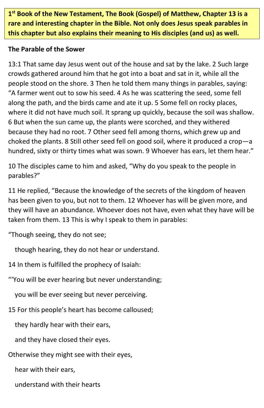**1 st Book of the New Testament, The Book (Gospel) of Matthew, Chapter 13 is a rare and interesting chapter in the Bible. Not only does Jesus speak parables in this chapter but also explains their meaning to His disciples (and us) as well.**

#### **The Parable of the Sower**

13:1 That same day Jesus went out of the house and sat by the lake. 2 Such large crowds gathered around him that he got into a boat and sat in it, while all the people stood on the shore. 3 Then he told them many things in parables, saying: "A farmer went out to sow his seed. 4 As he was scattering the seed, some fell along the path, and the birds came and ate it up. 5 Some fell on rocky places, where it did not have much soil. It sprang up quickly, because the soil was shallow. 6 But when the sun came up, the plants were scorched, and they withered because they had no root. 7 Other seed fell among thorns, which grew up and choked the plants. 8 Still other seed fell on good soil, where it produced a crop—a hundred, sixty or thirty times what was sown. 9 Whoever has ears, let them hear."

10 The disciples came to him and asked, "Why do you speak to the people in parables?"

11 He replied, "Because the knowledge of the secrets of the kingdom of heaven has been given to you, but not to them. 12 Whoever has will be given more, and they will have an abundance. Whoever does not have, even what they have will be taken from them. 13 This is why I speak to them in parables:

"Though seeing, they do not see;

though hearing, they do not hear or understand.

14 In them is fulfilled the prophecy of Isaiah:

"'You will be ever hearing but never understanding;

you will be ever seeing but never perceiving.

15 For this people's heart has become calloused;

they hardly hear with their ears,

and they have closed their eyes.

Otherwise they might see with their eyes,

hear with their ears,

understand with their hearts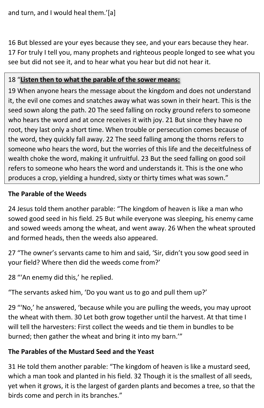16 But blessed are your eyes because they see, and your ears because they hear. 17 For truly I tell you, many prophets and righteous people longed to see what you see but did not see it, and to hear what you hear but did not hear it.

#### 18 "**Listen then to what the parable of the sower means:**

19 When anyone hears the message about the kingdom and does not understand it, the evil one comes and snatches away what was sown in their heart. This is the seed sown along the path. 20 The seed falling on rocky ground refers to someone who hears the word and at once receives it with joy. 21 But since they have no root, they last only a short time. When trouble or persecution comes because of the word, they quickly fall away. 22 The seed falling among the thorns refers to someone who hears the word, but the worries of this life and the deceitfulness of wealth choke the word, making it unfruitful. 23 But the seed falling on good soil refers to someone who hears the word and understands it. This is the one who produces a crop, yielding a hundred, sixty or thirty times what was sown."

#### **The Parable of the Weeds**

24 Jesus told them another parable: "The kingdom of heaven is like a man who sowed good seed in his field. 25 But while everyone was sleeping, his enemy came and sowed weeds among the wheat, and went away. 26 When the wheat sprouted and formed heads, then the weeds also appeared.

27 "The owner's servants came to him and said, 'Sir, didn't you sow good seed in your field? Where then did the weeds come from?'

28 "'An enemy did this,' he replied.

"The servants asked him, 'Do you want us to go and pull them up?'

29 "'No,' he answered, 'because while you are pulling the weeds, you may uproot the wheat with them. 30 Let both grow together until the harvest. At that time I will tell the harvesters: First collect the weeds and tie them in bundles to be burned; then gather the wheat and bring it into my barn.'"

#### **The Parables of the Mustard Seed and the Yeast**

31 He told them another parable: "The kingdom of heaven is like a mustard seed, which a man took and planted in his field. 32 Though it is the smallest of all seeds, yet when it grows, it is the largest of garden plants and becomes a tree, so that the birds come and perch in its branches."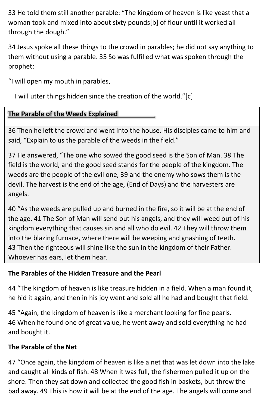33 He told them still another parable: "The kingdom of heaven is like yeast that a woman took and mixed into about sixty pounds[b] of flour until it worked all through the dough."

34 Jesus spoke all these things to the crowd in parables; he did not say anything to them without using a parable. 35 So was fulfilled what was spoken through the prophet:

"I will open my mouth in parables,

I will utter things hidden since the creation of the world."[c]

# **The Parable of the Weeds Explained \_**

36 Then he left the crowd and went into the house. His disciples came to him and said, "Explain to us the parable of the weeds in the field."

37 He answered, "The one who sowed the good seed is the Son of Man. 38 The field is the world, and the good seed stands for the people of the kingdom. The weeds are the people of the evil one, 39 and the enemy who sows them is the devil. The harvest is the end of the age, (End of Days) and the harvesters are angels.

40 "As the weeds are pulled up and burned in the fire, so it will be at the end of the age. 41 The Son of Man will send out his angels, and they will weed out of his kingdom everything that causes sin and all who do evil. 42 They will throw them into the blazing furnace, where there will be weeping and gnashing of teeth. 43 Then the righteous will shine like the sun in the kingdom of their Father. Whoever has ears, let them hear.

# **The Parables of the Hidden Treasure and the Pearl**

44 "The kingdom of heaven is like treasure hidden in a field. When a man found it, he hid it again, and then in his joy went and sold all he had and bought that field.

45 "Again, the kingdom of heaven is like a merchant looking for fine pearls. 46 When he found one of great value, he went away and sold everything he had and bought it.

# **The Parable of the Net**

47 "Once again, the kingdom of heaven is like a net that was let down into the lake and caught all kinds of fish. 48 When it was full, the fishermen pulled it up on the shore. Then they sat down and collected the good fish in baskets, but threw the bad away. 49 This is how it will be at the end of the age. The angels will come and